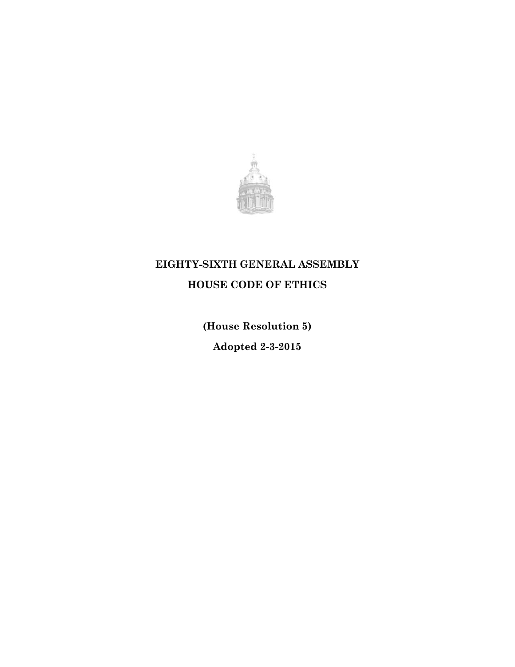

# **EIGHTY-SIXTH GENERAL ASSEMBLY**

**HOUSE CODE OF ETHICS**

**(House Resolution 5)**

**Adopted 2-3-2015**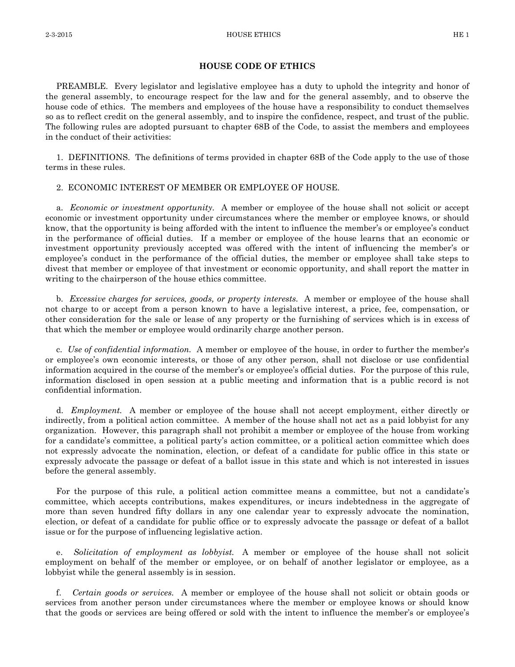#### **HOUSE CODE OF ETHICS**

PREAMBLE. Every legislator and legislative employee has a duty to uphold the integrity and honor of the general assembly, to encourage respect for the law and for the general assembly, and to observe the house code of ethics. The members and employees of the house have a responsibility to conduct themselves so as to reflect credit on the general assembly, and to inspire the confidence, respect, and trust of the public. The following rules are adopted pursuant to chapter 68B of the Code, to assist the members and employees in the conduct of their activities:

1. DEFINITIONS. The definitions of terms provided in chapter 68B of the Code apply to the use of those terms in these rules.

## 2. ECONOMIC INTEREST OF MEMBER OR EMPLOYEE OF HOUSE.

a. *Economic or investment opportunity.* A member or employee of the house shall not solicit or accept economic or investment opportunity under circumstances where the member or employee knows, or should know, that the opportunity is being afforded with the intent to influence the member's or employee's conduct in the performance of official duties. If a member or employee of the house learns that an economic or investment opportunity previously accepted was offered with the intent of influencing the member's or employee's conduct in the performance of the official duties, the member or employee shall take steps to divest that member or employee of that investment or economic opportunity, and shall report the matter in writing to the chairperson of the house ethics committee.

b. *Excessive charges for services, goods, or property interests.* A member or employee of the house shall not charge to or accept from a person known to have a legislative interest, a price, fee, compensation, or other consideration for the sale or lease of any property or the furnishing of services which is in excess of that which the member or employee would ordinarily charge another person.

c. *Use of confidential information.* A member or employee of the house, in order to further the member's or employee's own economic interests, or those of any other person, shall not disclose or use confidential information acquired in the course of the member's or employee's official duties. For the purpose of this rule, information disclosed in open session at a public meeting and information that is a public record is not confidential information.

d. *Employment.* A member or employee of the house shall not accept employment, either directly or indirectly, from a political action committee. A member of the house shall not act as a paid lobbyist for any organization. However, this paragraph shall not prohibit a member or employee of the house from working for a candidate's committee, a political party's action committee, or a political action committee which does not expressly advocate the nomination, election, or defeat of a candidate for public office in this state or expressly advocate the passage or defeat of a ballot issue in this state and which is not interested in issues before the general assembly.

For the purpose of this rule, a political action committee means a committee, but not a candidate's committee, which accepts contributions, makes expenditures, or incurs indebtedness in the aggregate of more than seven hundred fifty dollars in any one calendar year to expressly advocate the nomination, election, or defeat of a candidate for public office or to expressly advocate the passage or defeat of a ballot issue or for the purpose of influencing legislative action.

e. *Solicitation of employment as lobbyist.* A member or employee of the house shall not solicit employment on behalf of the member or employee, or on behalf of another legislator or employee, as a lobbyist while the general assembly is in session.

f. *Certain goods or services.* A member or employee of the house shall not solicit or obtain goods or services from another person under circumstances where the member or employee knows or should know that the goods or services are being offered or sold with the intent to influence the member's or employee's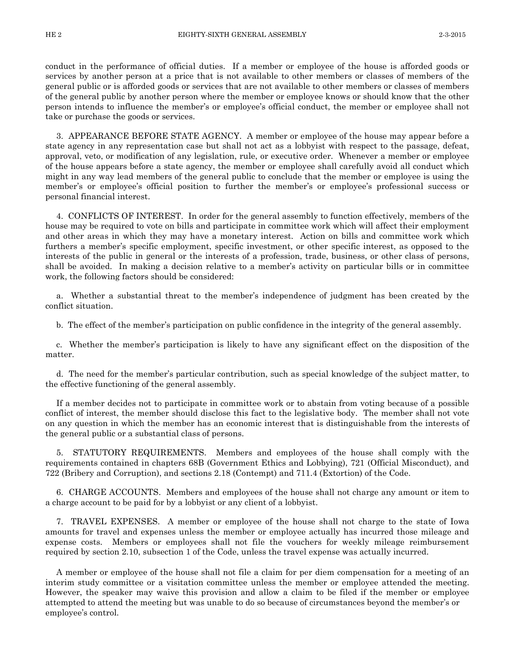conduct in the performance of official duties. If a member or employee of the house is afforded goods or services by another person at a price that is not available to other members or classes of members of the general public or is afforded goods or services that are not available to other members or classes of members of the general public by another person where the member or employee knows or should know that the other person intends to influence the member's or employee's official conduct, the member or employee shall not take or purchase the goods or services.

3. APPEARANCE BEFORE STATE AGENCY. A member or employee of the house may appear before a state agency in any representation case but shall not act as a lobbyist with respect to the passage, defeat, approval, veto, or modification of any legislation, rule, or executive order. Whenever a member or employee of the house appears before a state agency, the member or employee shall carefully avoid all conduct which might in any way lead members of the general public to conclude that the member or employee is using the member's or employee's official position to further the member's or employee's professional success or personal financial interest.

4. CONFLICTS OF INTEREST. In order for the general assembly to function effectively, members of the house may be required to vote on bills and participate in committee work which will affect their employment and other areas in which they may have a monetary interest. Action on bills and committee work which furthers a member's specific employment, specific investment, or other specific interest, as opposed to the interests of the public in general or the interests of a profession, trade, business, or other class of persons, shall be avoided. In making a decision relative to a member's activity on particular bills or in committee work, the following factors should be considered:

a. Whether a substantial threat to the member's independence of judgment has been created by the conflict situation.

b. The effect of the member's participation on public confidence in the integrity of the general assembly.

c. Whether the member's participation is likely to have any significant effect on the disposition of the matter.

d. The need for the member's particular contribution, such as special knowledge of the subject matter, to the effective functioning of the general assembly.

If a member decides not to participate in committee work or to abstain from voting because of a possible conflict of interest, the member should disclose this fact to the legislative body. The member shall not vote on any question in which the member has an economic interest that is distinguishable from the interests of the general public or a substantial class of persons.

5. STATUTORY REQUIREMENTS. Members and employees of the house shall comply with the requirements contained in chapters 68B (Government Ethics and Lobbying), 721 (Official Misconduct), and 722 (Bribery and Corruption), and sections 2.18 (Contempt) and 711.4 (Extortion) of the Code.

6. CHARGE ACCOUNTS. Members and employees of the house shall not charge any amount or item to a charge account to be paid for by a lobbyist or any client of a lobbyist.

7. TRAVEL EXPENSES. A member or employee of the house shall not charge to the state of Iowa amounts for travel and expenses unless the member or employee actually has incurred those mileage and expense costs. Members or employees shall not file the vouchers for weekly mileage reimbursement required by section 2.10, subsection 1 of the Code, unless the travel expense was actually incurred.

A member or employee of the house shall not file a claim for per diem compensation for a meeting of an interim study committee or a visitation committee unless the member or employee attended the meeting. However, the speaker may waive this provision and allow a claim to be filed if the member or employee attempted to attend the meeting but was unable to do so because of circumstances beyond the member's or employee's control.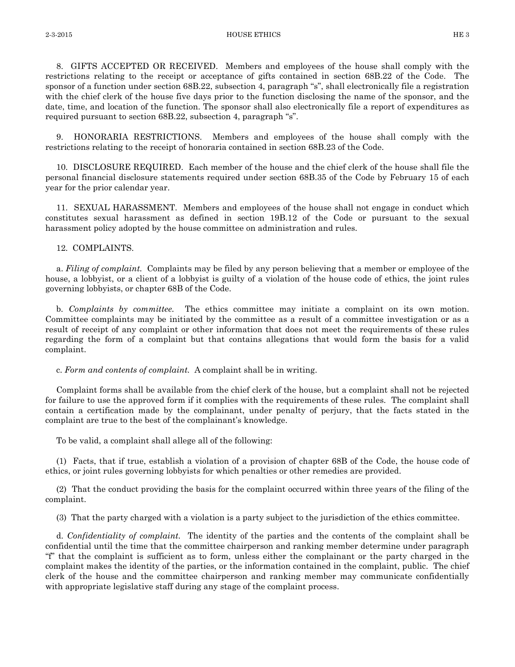8. GIFTS ACCEPTED OR RECEIVED. Members and employees of the house shall comply with the restrictions relating to the receipt or acceptance of gifts contained in section 68B.22 of the Code. The sponsor of a function under section 68B.22, subsection 4, paragraph "s", shall electronically file a registration with the chief clerk of the house five days prior to the function disclosing the name of the sponsor, and the date, time, and location of the function. The sponsor shall also electronically file a report of expenditures as required pursuant to section 68B.22, subsection 4, paragraph "s".

9. HONORARIA RESTRICTIONS. Members and employees of the house shall comply with the restrictions relating to the receipt of honoraria contained in section 68B.23 of the Code.

10. DISCLOSURE REQUIRED. Each member of the house and the chief clerk of the house shall file the personal financial disclosure statements required under section 68B.35 of the Code by February 15 of each year for the prior calendar year.

11. SEXUAL HARASSMENT. Members and employees of the house shall not engage in conduct which constitutes sexual harassment as defined in section 19B.12 of the Code or pursuant to the sexual harassment policy adopted by the house committee on administration and rules.

## 12. COMPLAINTS.

a. *Filing of complaint.* Complaints may be filed by any person believing that a member or employee of the house, a lobbyist, or a client of a lobbyist is guilty of a violation of the house code of ethics, the joint rules governing lobbyists, or chapter 68B of the Code.

b. *Complaints by committee.* The ethics committee may initiate a complaint on its own motion. Committee complaints may be initiated by the committee as a result of a committee investigation or as a result of receipt of any complaint or other information that does not meet the requirements of these rules regarding the form of a complaint but that contains allegations that would form the basis for a valid complaint.

c. *Form and contents of complaint.* A complaint shall be in writing.

Complaint forms shall be available from the chief clerk of the house, but a complaint shall not be rejected for failure to use the approved form if it complies with the requirements of these rules. The complaint shall contain a certification made by the complainant, under penalty of perjury, that the facts stated in the complaint are true to the best of the complainant's knowledge.

To be valid, a complaint shall allege all of the following:

(1) Facts, that if true, establish a violation of a provision of chapter 68B of the Code, the house code of ethics, or joint rules governing lobbyists for which penalties or other remedies are provided.

(2) That the conduct providing the basis for the complaint occurred within three years of the filing of the complaint.

(3) That the party charged with a violation is a party subject to the jurisdiction of the ethics committee.

d. *Confidentiality of complaint.* The identity of the parties and the contents of the complaint shall be confidential until the time that the committee chairperson and ranking member determine under paragraph "f" that the complaint is sufficient as to form, unless either the complainant or the party charged in the complaint makes the identity of the parties, or the information contained in the complaint, public. The chief clerk of the house and the committee chairperson and ranking member may communicate confidentially with appropriate legislative staff during any stage of the complaint process.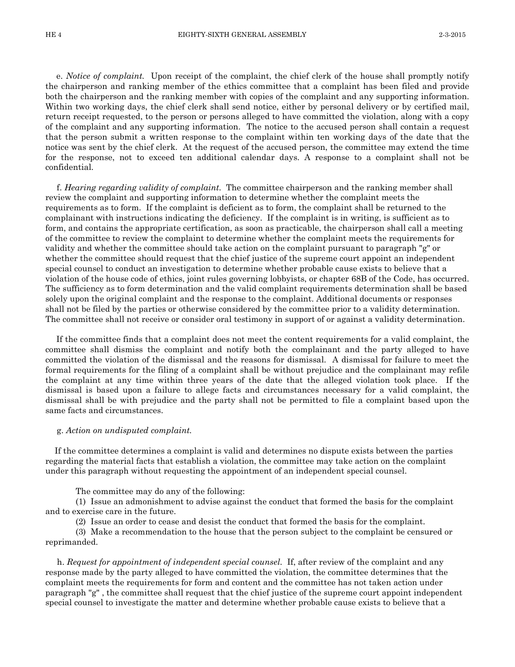e. *Notice of complaint.* Upon receipt of the complaint, the chief clerk of the house shall promptly notify the chairperson and ranking member of the ethics committee that a complaint has been filed and provide both the chairperson and the ranking member with copies of the complaint and any supporting information. Within two working days, the chief clerk shall send notice, either by personal delivery or by certified mail, return receipt requested, to the person or persons alleged to have committed the violation, along with a copy of the complaint and any supporting information. The notice to the accused person shall contain a request that the person submit a written response to the complaint within ten working days of the date that the notice was sent by the chief clerk. At the request of the accused person, the committee may extend the time for the response, not to exceed ten additional calendar days. A response to a complaint shall not be confidential.

f. *Hearing regarding validity of complaint.* The committee chairperson and the ranking member shall review the complaint and supporting information to determine whether the complaint meets the requirements as to form. If the complaint is deficient as to form, the complaint shall be returned to the complainant with instructions indicating the deficiency. If the complaint is in writing, is sufficient as to form, and contains the appropriate certification, as soon as practicable, the chairperson shall call a meeting of the committee to review the complaint to determine whether the complaint meets the requirements for validity and whether the committee should take action on the complaint pursuant to paragraph "g" or whether the committee should request that the chief justice of the supreme court appoint an independent special counsel to conduct an investigation to determine whether probable cause exists to believe that a violation of the house code of ethics, joint rules governing lobbyists, or chapter 68B of the Code, has occurred. The sufficiency as to form determination and the valid complaint requirements determination shall be based solely upon the original complaint and the response to the complaint. Additional documents or responses shall not be filed by the parties or otherwise considered by the committee prior to a validity determination. The committee shall not receive or consider oral testimony in support of or against a validity determination.

If the committee finds that a complaint does not meet the content requirements for a valid complaint, the committee shall dismiss the complaint and notify both the complainant and the party alleged to have committed the violation of the dismissal and the reasons for dismissal. A dismissal for failure to meet the formal requirements for the filing of a complaint shall be without prejudice and the complainant may refile the complaint at any time within three years of the date that the alleged violation took place. If the dismissal is based upon a failure to allege facts and circumstances necessary for a valid complaint, the dismissal shall be with prejudice and the party shall not be permitted to file a complaint based upon the same facts and circumstances.

#### g. *Action on undisputed complaint.*

 If the committee determines a complaint is valid and determines no dispute exists between the parties regarding the material facts that establish a violation, the committee may take action on the complaint under this paragraph without requesting the appointment of an independent special counsel.

The committee may do any of the following:

 (1) Issue an admonishment to advise against the conduct that formed the basis for the complaint and to exercise care in the future.

(2) Issue an order to cease and desist the conduct that formed the basis for the complaint.

 (3) Make a recommendation to the house that the person subject to the complaint be censured or reprimanded.

 h. *Request for appointment of independent special counsel.* If, after review of the complaint and any response made by the party alleged to have committed the violation, the committee determines that the complaint meets the requirements for form and content and the committee has not taken action under paragraph "g" , the committee shall request that the chief justice of the supreme court appoint independent special counsel to investigate the matter and determine whether probable cause exists to believe that a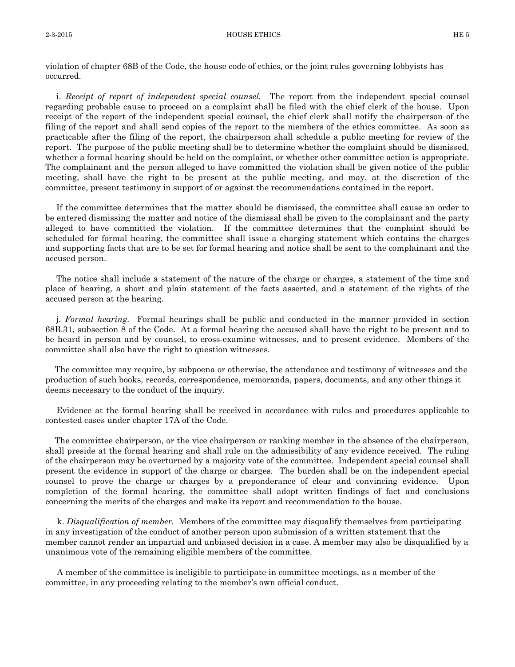violation of chapter 68B of the Code, the house code of ethics, or the joint rules governing lobbyists has occurred.

i. *Receipt of report of independent special counsel.* The report from the independent special counsel regarding probable cause to proceed on a complaint shall be filed with the chief clerk of the house. Upon receipt of the report of the independent special counsel, the chief clerk shall notify the chairperson of the filing of the report and shall send copies of the report to the members of the ethics committee. As soon as practicable after the filing of the report, the chairperson shall schedule a public meeting for review of the report. The purpose of the public meeting shall be to determine whether the complaint should be dismissed, whether a formal hearing should be held on the complaint, or whether other committee action is appropriate. The complainant and the person alleged to have committed the violation shall be given notice of the public meeting, shall have the right to be present at the public meeting, and may, at the discretion of the committee, present testimony in support of or against the recommendations contained in the report.

If the committee determines that the matter should be dismissed, the committee shall cause an order to be entered dismissing the matter and notice of the dismissal shall be given to the complainant and the party alleged to have committed the violation. If the committee determines that the complaint should be scheduled for formal hearing, the committee shall issue a charging statement which contains the charges and supporting facts that are to be set for formal hearing and notice shall be sent to the complainant and the accused person.

The notice shall include a statement of the nature of the charge or charges, a statement of the time and place of hearing, a short and plain statement of the facts asserted, and a statement of the rights of the accused person at the hearing.

j. *Formal hearing.* Formal hearings shall be public and conducted in the manner provided in section 68B.31, subsection 8 of the Code. At a formal hearing the accused shall have the right to be present and to be heard in person and by counsel, to cross-examine witnesses, and to present evidence. Members of the committee shall also have the right to question witnesses.

 The committee may require, by subpoena or otherwise, the attendance and testimony of witnesses and the production of such books, records, correspondence, memoranda, papers, documents, and any other things it deems necessary to the conduct of the inquiry.

Evidence at the formal hearing shall be received in accordance with rules and procedures applicable to contested cases under chapter 17A of the Code.

 The committee chairperson, or the vice chairperson or ranking member in the absence of the chairperson, shall preside at the formal hearing and shall rule on the admissibility of any evidence received. The ruling of the chairperson may be overturned by a majority vote of the committee. Independent special counsel shall present the evidence in support of the charge or charges. The burden shall be on the independent special counsel to prove the charge or charges by a preponderance of clear and convincing evidence. Upon completion of the formal hearing, the committee shall adopt written findings of fact and conclusions concerning the merits of the charges and make its report and recommendation to the house.

 k. *Disqualification of member.* Members of the committee may disqualify themselves from participating in any investigation of the conduct of another person upon submission of a written statement that the member cannot render an impartial and unbiased decision in a case. A member may also be disqualified by a unanimous vote of the remaining eligible members of the committee.

 A member of the committee is ineligible to participate in committee meetings, as a member of the committee, in any proceeding relating to the member's own official conduct.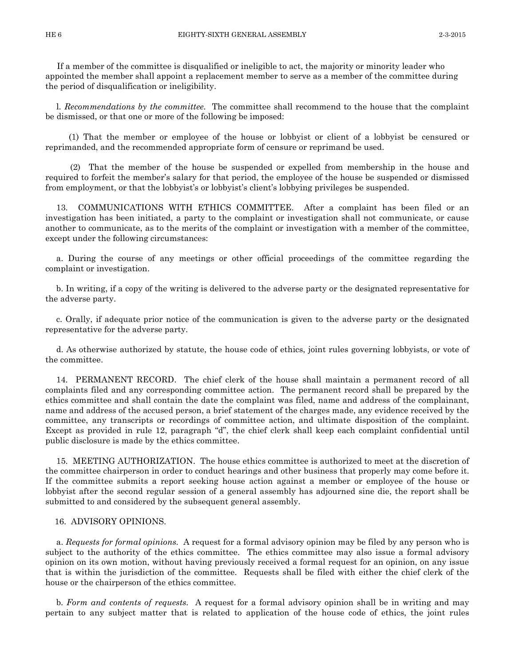If a member of the committee is disqualified or ineligible to act, the majority or minority leader who appointed the member shall appoint a replacement member to serve as a member of the committee during the period of disqualification or ineligibility.

l. *Recommendations by the committee.* The committee shall recommend to the house that the complaint be dismissed, or that one or more of the following be imposed:

 (1) That the member or employee of the house or lobbyist or client of a lobbyist be censured or reprimanded, and the recommended appropriate form of censure or reprimand be used.

 (2) That the member of the house be suspended or expelled from membership in the house and required to forfeit the member's salary for that period, the employee of the house be suspended or dismissed from employment, or that the lobbyist's or lobbyist's client's lobbying privileges be suspended.

13. COMMUNICATIONS WITH ETHICS COMMITTEE. After a complaint has been filed or an investigation has been initiated, a party to the complaint or investigation shall not communicate, or cause another to communicate, as to the merits of the complaint or investigation with a member of the committee, except under the following circumstances:

a. During the course of any meetings or other official proceedings of the committee regarding the complaint or investigation.

b. In writing, if a copy of the writing is delivered to the adverse party or the designated representative for the adverse party.

c. Orally, if adequate prior notice of the communication is given to the adverse party or the designated representative for the adverse party.

d. As otherwise authorized by statute, the house code of ethics, joint rules governing lobbyists, or vote of the committee.

14. PERMANENT RECORD. The chief clerk of the house shall maintain a permanent record of all complaints filed and any corresponding committee action. The permanent record shall be prepared by the ethics committee and shall contain the date the complaint was filed, name and address of the complainant, name and address of the accused person, a brief statement of the charges made, any evidence received by the committee, any transcripts or recordings of committee action, and ultimate disposition of the complaint. Except as provided in rule 12, paragraph "d", the chief clerk shall keep each complaint confidential until public disclosure is made by the ethics committee.

15. MEETING AUTHORIZATION. The house ethics committee is authorized to meet at the discretion of the committee chairperson in order to conduct hearings and other business that properly may come before it. If the committee submits a report seeking house action against a member or employee of the house or lobbyist after the second regular session of a general assembly has adjourned sine die, the report shall be submitted to and considered by the subsequent general assembly.

#### 16. ADVISORY OPINIONS.

a. *Requests for formal opinions.* A request for a formal advisory opinion may be filed by any person who is subject to the authority of the ethics committee. The ethics committee may also issue a formal advisory opinion on its own motion, without having previously received a formal request for an opinion, on any issue that is within the jurisdiction of the committee. Requests shall be filed with either the chief clerk of the house or the chairperson of the ethics committee.

b. *Form and contents of requests.* A request for a formal advisory opinion shall be in writing and may pertain to any subject matter that is related to application of the house code of ethics, the joint rules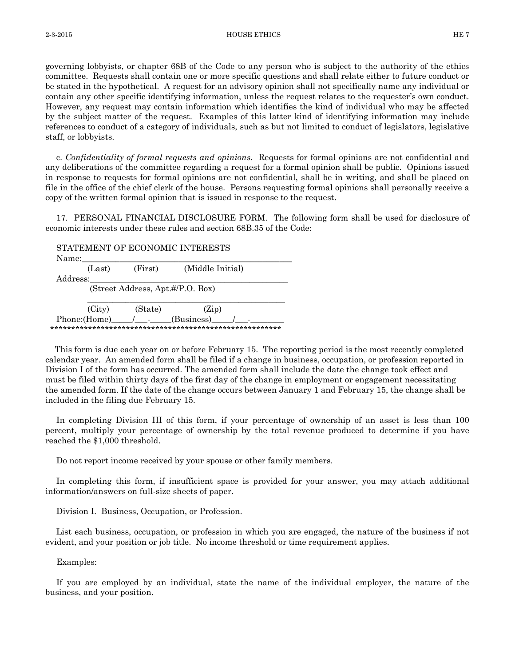governing lobbyists, or chapter 68B of the Code to any person who is subject to the authority of the ethics committee. Requests shall contain one or more specific questions and shall relate either to future conduct or be stated in the hypothetical. A request for an advisory opinion shall not specifically name any individual or contain any other specific identifying information, unless the request relates to the requester's own conduct. However, any request may contain information which identifies the kind of individual who may be affected by the subject matter of the request. Examples of this latter kind of identifying information may include references to conduct of a category of individuals, such as but not limited to conduct of legislators, legislative staff, or lobbyists.

c. *Confidentiality of formal requests and opinions.* Requests for formal opinions are not confidential and any deliberations of the committee regarding a request for a formal opinion shall be public. Opinions issued in response to requests for formal opinions are not confidential, shall be in writing, and shall be placed on file in the office of the chief clerk of the house. Persons requesting formal opinions shall personally receive a copy of the written formal opinion that is issued in response to the request.

17. PERSONAL FINANCIAL DISCLOSURE FORM. The following form shall be used for disclosure of economic interests under these rules and section 68B.35 of the Code:

STATEMENT OF ECONOMIC INTERESTS Name: (Last) (First) (Middle Initial) Address: (Street Address, Apt.#/P.O. Box)  $\frac{1}{\sqrt{2}}$  ,  $\frac{1}{\sqrt{2}}$  ,  $\frac{1}{\sqrt{2}}$  ,  $\frac{1}{\sqrt{2}}$  ,  $\frac{1}{\sqrt{2}}$  ,  $\frac{1}{\sqrt{2}}$  ,  $\frac{1}{\sqrt{2}}$  ,  $\frac{1}{\sqrt{2}}$  ,  $\frac{1}{\sqrt{2}}$  ,  $\frac{1}{\sqrt{2}}$  ,  $\frac{1}{\sqrt{2}}$  ,  $\frac{1}{\sqrt{2}}$  ,  $\frac{1}{\sqrt{2}}$  ,  $\frac{1}{\sqrt{2}}$  ,  $\frac{1}{\sqrt{2}}$  (City) (State) (Zip) Phone:(Home) / (Business) \*\*\*\*\*\*\*\*\*\*\*\*\*\*\*\*\*\*\*\*\*\*\*\*\*\*\*\*\*\*\*\*\*\*\*\*\*\*\*\*\*\*\*\*\*\*\*\*\*\*\*\*\*\*\*

 This form is due each year on or before February 15. The reporting period is the most recently completed calendar year. An amended form shall be filed if a change in business, occupation, or profession reported in Division I of the form has occurred. The amended form shall include the date the change took effect and must be filed within thirty days of the first day of the change in employment or engagement necessitating the amended form. If the date of the change occurs between January 1 and February 15, the change shall be included in the filing due February 15.

In completing Division III of this form, if your percentage of ownership of an asset is less than 100 percent, multiply your percentage of ownership by the total revenue produced to determine if you have reached the \$1,000 threshold.

Do not report income received by your spouse or other family members.

In completing this form, if insufficient space is provided for your answer, you may attach additional information/answers on full-size sheets of paper.

Division I. Business, Occupation, or Profession.

List each business, occupation, or profession in which you are engaged, the nature of the business if not evident, and your position or job title. No income threshold or time requirement applies.

Examples:

If you are employed by an individual, state the name of the individual employer, the nature of the business, and your position.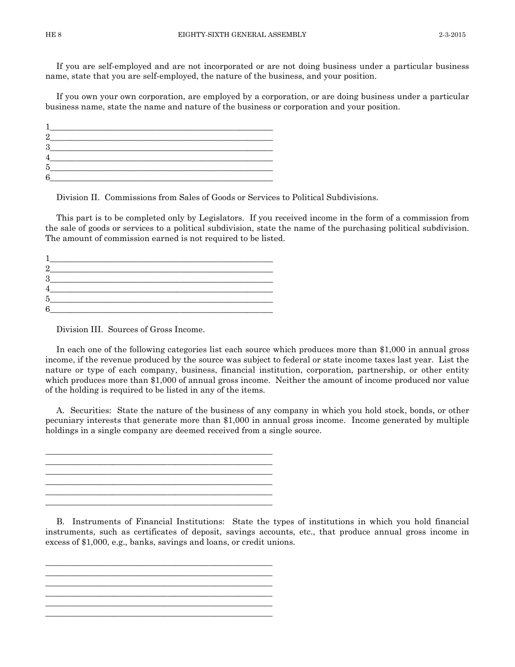If you are self-employed and are not incorporated or are not doing business under a particular business name, state that you are self-employed, the nature of the business, and your position.

If you own your own corporation, are employed by a corporation, or are doing business under a particular business name, state the name and nature of the business or corporation and your position.

| Б |  |
|---|--|
|   |  |

Division II. Commissions from Sales of Goods or Services to Political Subdivisions.

This part is to be completed only by Legislators. If you received income in the form of a commission from the sale of goods or services to a political subdivision, state the name of the purchasing political subdivision. The amount of commission earned is not required to be listed.

| Б |  |
|---|--|
|   |  |

Division III. Sources of Gross Income.

In each one of the following categories list each source which produces more than \$1,000 in annual gross income, if the revenue produced by the source was subject to federal or state income taxes last year. List the nature or type of each company, business, financial institution, corporation, partnership, or other entity which produces more than \$1,000 of annual gross income. Neither the amount of income produced nor value of the holding is required to be listed in any of the items.

A. Securities: State the nature of the business of any company in which you hold stock, bonds, or other pecuniary interests that generate more than \$1,000 in annual gross income. Income generated by multiple holdings in a single company are deemed received from a single source.

\_\_\_\_\_\_\_\_\_\_\_\_\_\_\_\_\_\_\_\_\_\_\_\_\_\_\_\_\_\_\_\_\_\_\_\_\_\_\_\_\_\_\_\_\_\_\_\_\_\_\_\_\_\_ \_\_\_\_\_\_\_\_\_\_\_\_\_\_\_\_\_\_\_\_\_\_\_\_\_\_\_\_\_\_\_\_\_\_\_\_\_\_\_\_\_\_\_\_\_\_\_\_\_\_\_\_\_\_ \_\_\_\_\_\_\_\_\_\_\_\_\_\_\_\_\_\_\_\_\_\_\_\_\_\_\_\_\_\_\_\_\_\_\_\_\_\_\_\_\_\_\_\_\_\_\_\_\_\_\_\_\_\_ \_\_\_\_\_\_\_\_\_\_\_\_\_\_\_\_\_\_\_\_\_\_\_\_\_\_\_\_\_\_\_\_\_\_\_\_\_\_\_\_\_\_\_\_\_\_\_\_\_\_\_\_\_\_

\_\_\_\_\_\_\_\_\_\_\_\_\_\_\_\_\_\_\_\_\_\_\_\_\_\_\_\_\_\_\_\_\_\_\_\_\_\_\_\_\_\_\_\_\_\_\_\_\_\_\_\_\_\_ \_\_\_\_\_\_\_\_\_\_\_\_\_\_\_\_\_\_\_\_\_\_\_\_\_\_\_\_\_\_\_\_\_\_\_\_\_\_\_\_\_\_\_\_\_\_\_\_\_\_\_\_\_\_ \_\_\_\_\_\_\_\_\_\_\_\_\_\_\_\_\_\_\_\_\_\_\_\_\_\_\_\_\_\_\_\_\_\_\_\_\_\_\_\_\_\_\_\_\_\_\_\_\_\_\_\_\_\_ \_\_\_\_\_\_\_\_\_\_\_\_\_\_\_\_\_\_\_\_\_\_\_\_\_\_\_\_\_\_\_\_\_\_\_\_\_\_\_\_\_\_\_\_\_\_\_\_\_\_\_\_\_\_

\_\_\_\_\_\_\_\_\_\_\_\_\_\_\_\_\_\_\_\_\_\_\_\_\_\_\_\_\_\_\_\_\_\_\_\_\_\_\_\_\_\_\_\_\_\_\_\_\_\_\_\_\_\_

B. Instruments of Financial Institutions: State the types of institutions in which you hold financial instruments, such as certificates of deposit, savings accounts, etc., that produce annual gross income in excess of \$1,000, e.g., banks, savings and loans, or credit unions.